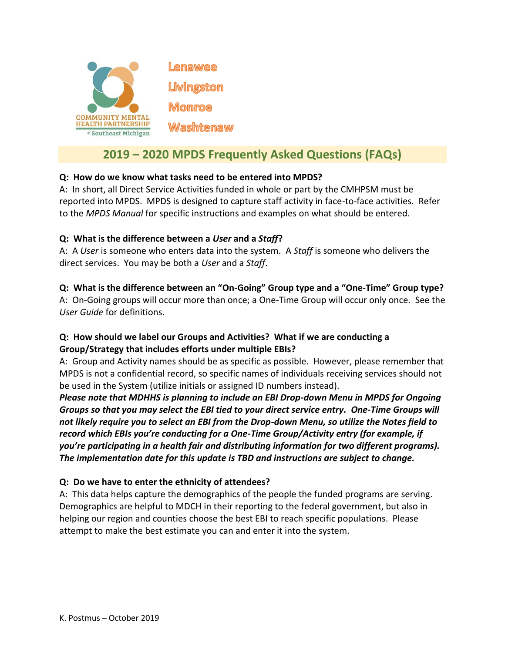

# **2019 – 2020 MPDS Frequently Asked Questions (FAQs)**

# **Q: How do we know what tasks need to be entered into MPDS?**

A: In short, all Direct Service Activities funded in whole or part by the CMHPSM must be reported into MPDS. MPDS is designed to capture staff activity in face-to-face activities. Refer to the *MPDS Manual* for specific instructions and examples on what should be entered.

## **Q: What is the difference between a** *User* **and a** *Staff***?**

A: A *User* is someone who enters data into the system. A *Staff* is someone who delivers the direct services. You may be both a *User* and a *Staff*.

## **Q: What is the difference between an "On-Going" Group type and a "One-Time" Group type?**

A: On-Going groups will occur more than once; a One-Time Group will occur only once. See the *User Guide* for definitions.

# **Q: How should we label our Groups and Activities? What if we are conducting a Group/Strategy that includes efforts under multiple EBIs?**

A: Group and Activity names should be as specific as possible. However, please remember that MPDS is not a confidential record, so specific names of individuals receiving services should not be used in the System (utilize initials or assigned ID numbers instead).

*Please note that MDHHS is planning to include an EBI Drop-down Menu in MPDS for Ongoing Groups so that you may select the EBI tied to your direct service entry. One-Time Groups will not likely require you to select an EBI from the Drop-down Menu, so utilize the Notes field to record which EBIs you're conducting for a One-Time Group/Activity entry (for example, if you're participating in a health fair and distributing information for two different programs). The implementation date for this update is TBD and instructions are subject to change.*

# **Q: Do we have to enter the ethnicity of attendees?**

A: This data helps capture the demographics of the people the funded programs are serving. Demographics are helpful to MDCH in their reporting to the federal government, but also in helping our region and counties choose the best EBI to reach specific populations. Please attempt to make the best estimate you can and enter it into the system.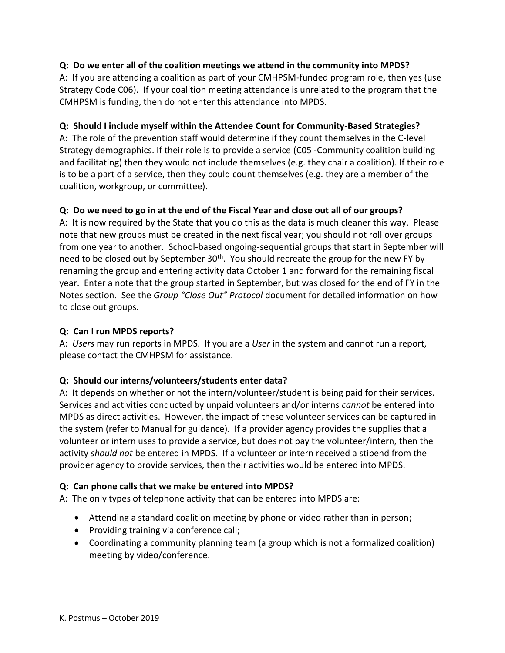# **Q: Do we enter all of the coalition meetings we attend in the community into MPDS?**

A: If you are attending a coalition as part of your CMHPSM-funded program role, then yes (use Strategy Code C06). If your coalition meeting attendance is unrelated to the program that the CMHPSM is funding, then do not enter this attendance into MPDS.

## **Q: Should I include myself within the Attendee Count for Community-Based Strategies?**

A: The role of the prevention staff would determine if they count themselves in the C-level Strategy demographics. If their role is to provide a service (C05 -Community coalition building and facilitating) then they would not include themselves (e.g. they chair a coalition). If their role is to be a part of a service, then they could count themselves (e.g. they are a member of the coalition, workgroup, or committee).

# **Q: Do we need to go in at the end of the Fiscal Year and close out all of our groups?**

A: It is now required by the State that you do this as the data is much cleaner this way. Please note that new groups must be created in the next fiscal year; you should not roll over groups from one year to another. School-based ongoing-sequential groups that start in September will need to be closed out by September 30<sup>th</sup>. You should recreate the group for the new FY by renaming the group and entering activity data October 1 and forward for the remaining fiscal year. Enter a note that the group started in September, but was closed for the end of FY in the Notes section. See the *Group "Close Out" Protocol* document for detailed information on how to close out groups.

## **Q: Can I run MPDS reports?**

A: *Users* may run reports in MPDS. If you are a *User* in the system and cannot run a report, please contact the CMHPSM for assistance.

#### **Q: Should our interns/volunteers/students enter data?**

A: It depends on whether or not the intern/volunteer/student is being paid for their services. Services and activities conducted by unpaid volunteers and/or interns *cannot* be entered into MPDS as direct activities. However, the impact of these volunteer services can be captured in the system (refer to Manual for guidance). If a provider agency provides the supplies that a volunteer or intern uses to provide a service, but does not pay the volunteer/intern, then the activity *should not* be entered in MPDS. If a volunteer or intern received a stipend from the provider agency to provide services, then their activities would be entered into MPDS.

#### **Q: Can phone calls that we make be entered into MPDS?**

A: The only types of telephone activity that can be entered into MPDS are:

- Attending a standard coalition meeting by phone or video rather than in person;
- Providing training via conference call;
- Coordinating a community planning team (a group which is not a formalized coalition) meeting by video/conference.